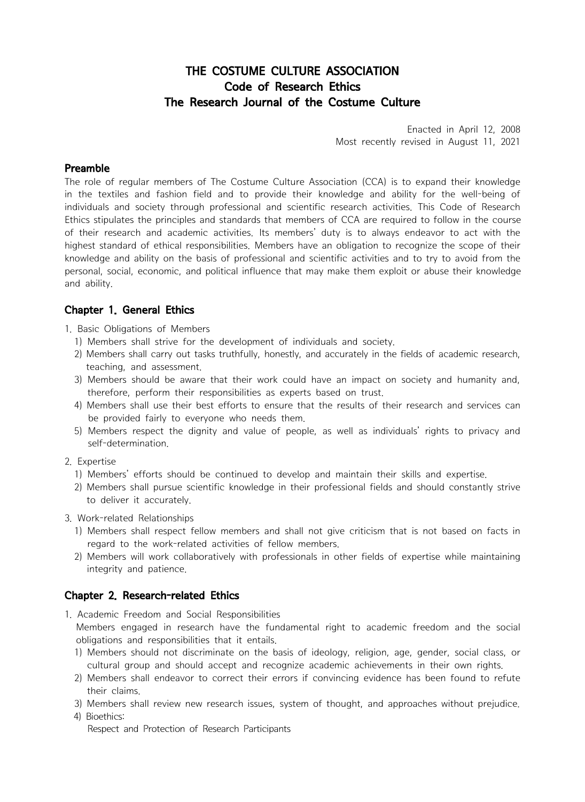# THE COSTUME CULTURE ASSOCIATION Code of Research Ethics The Research Journal of the Costume Culture

Enacted in April 12, 2008 Most recently revised in August 11, 2021

#### Preamble

The role of regular members of The Costume Culture Association (CCA) is to expand their knowledge in the textiles and fashion field and to provide their knowledge and ability for the well-being of individuals and society through professional and scientific research activities. This Code of Research Ethics stipulates the principles and standards that members of CCA are required to follow in the course of their research and academic activities. Its members' duty is to always endeavor to act with the highest standard of ethical responsibilities. Members have an obligation to recognize the scope of their knowledge and ability on the basis of professional and scientific activities and to try to avoid from the personal, social, economic, and political influence that may make them exploit or abuse their knowledge and ability. Ethics stipulates the principles and standards that members of CCA are required to follow in the course<br>of their research and academic activities. Members have an obligation to recognize the scope of their<br>hindest standard the personal, social, economic, and political influence that may make them exploit or abuse their knowledge<br>particular, and political influence that may make them exploit or abuse their knowledge<br>and ability.<br> **Chapter 1.** 

# Chapter 1. General Ethics

- 1. Basic Obligations of Members
	-
	-
	- therefore, perform their responsibilities as experts based on trust.
- 1) Members Shall strive for the development of individuals and society.<br>
1) Members shall strive for the development of individuals and society.<br>
2) Members shall carry out tasks truthfully, honestly, and accurately in the
- **Chapter 1. General Ethics**<br>
1. Basic Obligations of Members<br>
1) Members shall strive for the development of individuals and society.<br>
2) Members shall carry out tasks truthfully, honestly, and accurately in the fields of self-determination. 1) Members shall carry out tasks truthfully, honestly, and accurately in the fields of academic research,<br>
2) Members should be aware that their work could have an impact on society and humanity and,<br>
2) Members should be 1) Members shall use their best errorts to ensure that the results or their research and services can<br>
be provided fairly to everyone who needs them,<br>
5) Members respect the dignity and value of people, as well as individu

#### 2. Expertise

- 
- to deliver it accurately.
- 3. Work-related Relationships
- Free Street the dignity and value of people, as well as individuals rights to privacy and self-determination.<br>
2) Members' efforts should be continued to develop and maintain their skills and expertise.<br>
2) Members shall p
	- integrity and patience.

### Chapter 2. Research-related Ethics

1. Academic Freedom and Social Responsibilities

Members engaged in research have the fundamental right to academic freedom and the social 1) Members shall respect fellow members and shall not give criticism that is not based on facts in regard to the work-related activities of fellow members.<br>
2) Members will work collaboratively with professionals in other

- 
- 2) Members will work collaboratively with professionals in other fields of expertise while maintaining<br>
2) integrity and patience.<br>
2) **Chapter 2. Research-related Ethics**<br>
1) Academic Freedom and Social Responsibilities<br> Chapter 2. Research-related Ethics<br>
1. Academic Freedom and Social Responsibilities<br>
Members engaged in research have the fundamental right to academic freedom and the social<br>
obligations and responsibilities that it entai **Chapter 2. Research-related Ethic**<br>1. Academic Freedom and Social Res<br>Members engaged in research has<br>obligations and responsibilities that<br>1) Members should not discriminate<br>cultural group and should accep<br>2) Members sha 1. Academic Freedom and Social Responsibilities<br>Members engaged in research have the fundar<br>obligations and responsibilities that it entails.<br>1) Members should not discriminate on the basis<br>cultural group and should accept
	-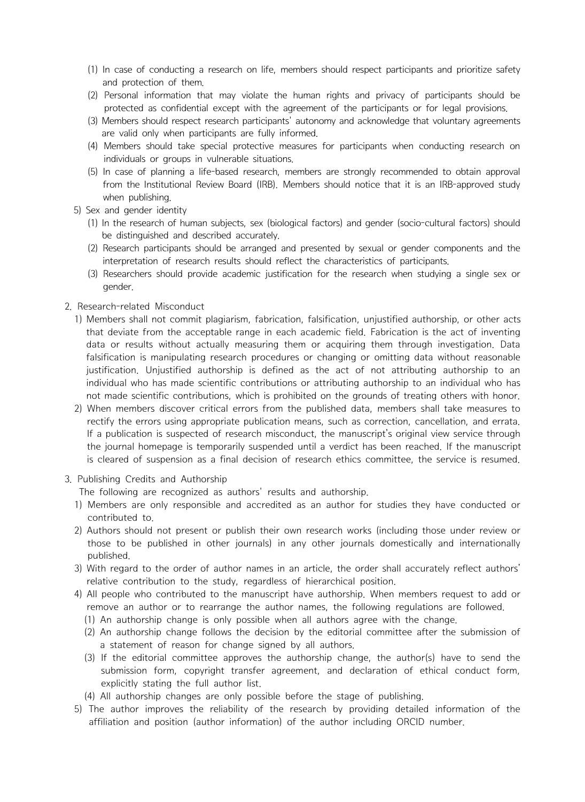- (1) In case of conducting a research on life, members should respect participants and prioritize safety<br>and protection of them.<br>(2) Personal information that may violate the human rights and privacy of participants should
- Fand protection of them. (1) In case of conducting a research on life, members should respect participants and prioritize safety and protection of them.<br>
(2) Personal information that may violate the human rights and priva protected as confidential except with the agreement of the participants and prioritize safety<br>and protection of them.<br>(2) Personal information that may violate the human rights and privacy of participants should be<br>protect Fare valid only a research on life, members should respect participants and prioritize safety<br>and protection of them.<br>
(2) Personal information that may violate the human rights and privacy of participants should be<br>
prote
	-
	-
- (1) In case of conducting a research on life, members should respect participants and prioritize safety<br>
and protection of them.<br>
(2) Personal information that may violate the human rights and privacy of participants shoul from the Institutional Review Board (IRB). Members should notice that it is an IRB-approved study Friend The method of them.<br>
(2) Personal information that may viola<br>
protected as confidential except with<br>
(3) Members should respect research part<br>
(4) Members should take special protec<br>
individuals or groups in vulnera Fresonal mominaton trat may volume the numar mights and privacy of participants should<br>
(1) Members should respect research participants' autonomy and acknowledge that voluntary agreements<br>
are valid only when participants be are valid only when participants are fully informed.<br>
The valid only when participants are fully informed.<br>
(4) Members should take special protective measures for participants when conducting research on<br>
individuals o For interiors should care special protective measures for participants when conducting research of<br>
(5) In case of planning a life-based research, members are strongly recommended to obtain approval<br>
from the Institutional
	- -
		-
		- gender.
- 2. Research-related Misconduct
- when publishing.<br>
1) Sex and gender identity<br>
1) In the research of human subjects, sex (biological factors) and gender (socio-cultural factors) should<br>
1) the distinguished and described accurately.<br>
1) Research participa that deviate from the acceptable range in each academic field. Fabrication is the act of inventing data or results without actually measuring them or acquiring them through investigation. Data falsification is manipulating research procedures or changing or omitting data without reasonable justification. Unjustified authorship is defined as the act of not attributing authorship to an individual who has made scientific contributions or attributing authorship to an individual who has not members shall not commit plagiarism, fabrication, falsification, unjustified authorship, or other acts<br>
1) Members shall not commit plagiarism, fabrication, falsification is the act of inventing<br>
data or results withou
- rectify the errors using appropriate publication means, such as correction, cancellation, and errata. If a publication is suspected of research misconduct, the manuscript's original view service through the journal homepage is temporarily suspended until a verdict has been reached. If the manuscript is cleared of suspension as a final decision of research ethics committee, the service is resumed. in individual who has made scientific contributions or attribution as the act of not attribution individual who has made scientific contributions, which is prohibited on the grounds of treat 2). When members discover criti individual who has made scientific contributions or attributiong authorship to an individual who has<br>not made scientific contributions, which is prohibited on the grounds of treating others with honor.<br>2) When members disc 2) When members discover critical errors from the published data, members shall take measures to<br>rectify the errors using appropriate publication means, such as correction, cancellation, and errata.<br>
If a publication is us
- 3. Publishing Credits and Authorship

- 
- those to be published in other journals) in any other journals domestically and internationally the journal homepage is temporarily suspended until a verdict has been reached. If the manuscript<br>
is cleared of suspension as a final decision of research ethics committee, the service is resumed.<br>
3. Publishing Credits a Frelative contributed to the manuscript is and authorship.<br>
The following are recognized as an authorship.<br>
1) Members are only responsible and accredited as an author for studies they have conducted or<br>
2) Authors should In the following are recognized as authors Testus and authors inp.<br>
1) Members are only responsible and accredited as an author for studies they have conducted or<br>
2) Authors should not present or publish their own researc
	-
	- -
		-
- From the position of the proposal their offers of the proposal their own research works (including those their review of the change signed by a bit of the editorial committee authors in an article, the order shall accurate submission form, copyright transfer agreement, and declaration of ethical conduct form, From the time of the time of the time only possible when a matter, the one stant accuracy renect authorship change is only possible when all authors agree with the change.<br>
(1) An authorship change is only possible when al
	-
	- affiliation and position (author information) of the author including ORCID number.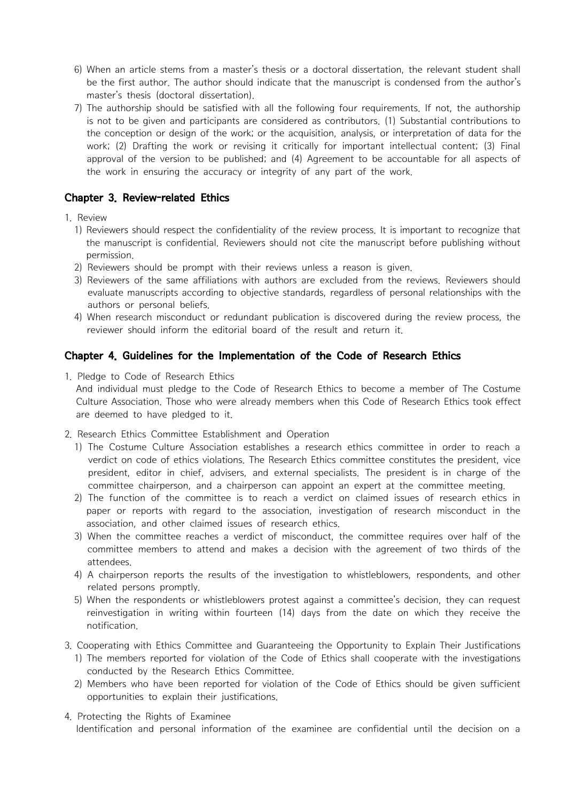- 6) When an article stems from a master's thesis or a doctoral dissertation, the relevant student shall<br>be the first author. The author should indicate that the manuscript is condensed from the author's<br>master's thesis (doc be the first author. The author should indicate that the manuscript is condensed from the author's
- master's thesis (doctoral dissertation).<br>
So when an article stems from a master's thesis or a doctoral dissertation, the relevant student shall<br>
be the first author. The author should indicate that the manuscript is conde is not to be given and participants are considered as contributors. (1) Substantial contributions to the conception or design of the work; or the acquisition, analysis, or interpretation of data for the work; (2) Drafting the work or revising it critically for important intellectual content; (3) Final approval of the version to be published; and  $(4)$  Agreement to be accountable for all aspects of the work in ensuring the accuracy or integrity of any part of the work. 7) The authorship should be satisfied with all the following four requirements. If not, the authorship<br>
is not to be given and participants are considered as contributors. (1) Substantial contributions to<br>
the conception

# Chapter 3. Review-related Ethics

#### 1. Review

- the manuscript is confidential. Reviewers should not cite the manuscript before publishing without permission.<br>
work; (2) Drafting the work or revising it critically for important intellectual content; (3) Final<br>
approval of the version to be published; and (4) Agreement to be accountable for all aspects of<br>
the work in **Chapter 3. Review-related Ethics**<br>
1. Review<br>
1) Reviewers should respect the confidentiality of the review process. It is important to recognize that<br>
the manuscript is confidential. Reviewers should not cite the manuscr
	-
	- evaluate manuscripts according to objective standards, regardless of personal relationships with the
	- reviewer should inform the editorial board of the result and return it.

# Chapter 4. Guidelines for the Implementation of the Code of Research Ethics

1. Pledge to Code of Research Ethics

And individual must pledge to the Code of Research Ethics to become a member of The Costume Culture Association. Those who were already members when this Code of Research Ethics took effect are deemed to have pledged to it.

- 2. Research Ethics Committee Establishment and Operation
- 1) The Costume Culture Association of the Code of Research Ethics<br>
1) Pledge to Code of Research Ethics<br>
1) Pledge to Code of Research Ethics<br>
2) Pledge to Code of Research Ethics<br>
2) And individual must pledge to the Code verdict on code of ethics violations. The Research Ethics committee constitutes the president, vice president, editor in chief, advisers, and external specialists. The president is in charge of the 1. Pledge to Code of Research Ethics<br>
2. Research Ethics took effect<br>
2. Research Ethics Committee who were already members when this Code of Research Ethics took effect<br>
2. Research Ethics Committee Establishment and Oper are deemed to have pledged to it.<br>
2. Research Ethics Committee Establishment and Operation<br>
1) The Costume Culture Association establishes a research ethics committee in order to reach a<br>
verdict on code of ethics violati 4) A chairperson reports the results of the investigation resolution report of teach a chair and the investigation report of the committee chairperson, and a chairperson can appoint an expert at the committee meeting.<br>
4)
	- paper or reports with regard to the association, investigation of research misconduct in the
	- committee members to attend and makes a decision with the agreement of two thirds of the attendees.
	-
- related contributions, and exchirant specialists), the pressure is in Charge or committee chairperson, and a chairperson can appoint an expert at the committee meeting.<br>
2) The function of the committee is to reach a verdi reinvestigation in writing within fourteen (14) days from the date on which they receive the notification. 1) When the committee reaches a verdict of misconduct, the committee requires over half of the committee members to attend and makes a decision with the agreement of two thirds of the attacheres.<br>
4) A chairperson reports attendees.<br>
4) A chairperson reports the results of the investigation to whistleblowers, respondents, and other<br>
5) When the respondents or whistleblowers protest against a committee's decision, they can request<br>
reinvesti
- 3. Cooperating with Ethics Committee and Guaranteeing the Opportunity to Explain Their Justifications
	-
	- opportunities to explain their justifications.
- 4. Protecting the Rights of Examinee Identification and personal information of the examinee are confidential until the decision on a